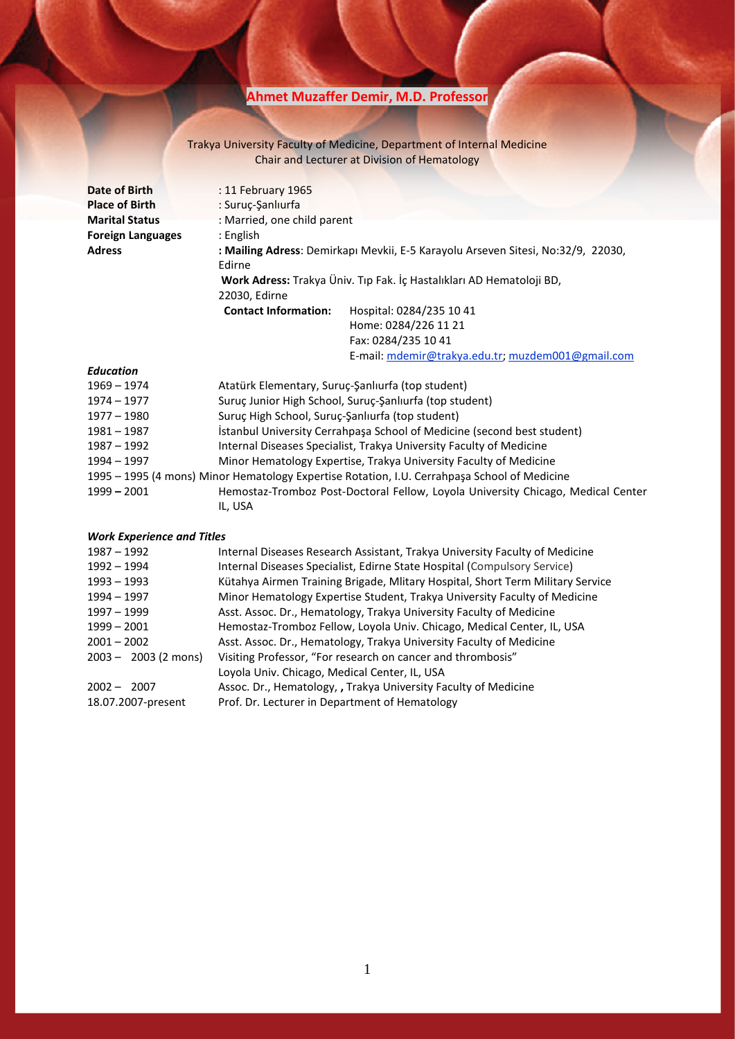# **Ahmet Muzaffer Demir, M.D. Professor**

## Trakya University Faculty of Medicine, Department of Internal Medicine Chair and Lecturer at Division of Hematology

| Date of Birth                     | : 11 February 1965                                                                    |                                                                                              |  |
|-----------------------------------|---------------------------------------------------------------------------------------|----------------------------------------------------------------------------------------------|--|
| <b>Place of Birth</b>             | : Suruç-Şanlıurfa                                                                     |                                                                                              |  |
| <b>Marital Status</b>             | : Married, one child parent                                                           |                                                                                              |  |
| <b>Foreign Languages</b>          | : English                                                                             |                                                                                              |  |
| <b>Adress</b>                     | Edirne                                                                                | : Mailing Adress: Demirkapı Mevkii, E-5 Karayolu Arseven Sitesi, No:32/9, 22030,             |  |
|                                   | Work Adress: Trakya Üniv. Tıp Fak. İç Hastalıkları AD Hematoloji BD,<br>22030, Edirne |                                                                                              |  |
|                                   | <b>Contact Information:</b>                                                           | Hospital: 0284/235 10 41                                                                     |  |
|                                   |                                                                                       | Home: 0284/226 11 21                                                                         |  |
|                                   |                                                                                       | Fax: 0284/235 10 41                                                                          |  |
|                                   |                                                                                       | E-mail: mdemir@trakya.edu.tr; muzdem001@gmail.com                                            |  |
| Education                         |                                                                                       |                                                                                              |  |
| $1969 - 1974$                     | Atatürk Elementary, Suruç-Şanlıurfa (top student)                                     |                                                                                              |  |
| $1974 - 1977$                     | Suruç Junior High School, Suruç-Şanlıurfa (top student)                               |                                                                                              |  |
| $1977 - 1980$                     | Suruç High School, Suruç-Şanlıurfa (top student)                                      |                                                                                              |  |
| $1981 - 1987$                     | İstanbul University Cerrahpaşa School of Medicine (second best student)               |                                                                                              |  |
| 1987 - 1992                       | Internal Diseases Specialist, Trakya University Faculty of Medicine                   |                                                                                              |  |
| 1994 - 1997                       |                                                                                       | Minor Hematology Expertise, Trakya University Faculty of Medicine                            |  |
|                                   |                                                                                       | 1995 - 1995 (4 mons) Minor Hematology Expertise Rotation, I.U. Cerrahpaşa School of Medicine |  |
| $1999 - 2001$                     | IL, USA                                                                               | Hemostaz-Tromboz Post-Doctoral Fellow, Loyola University Chicago, Medical Center             |  |
| <b>Work Experience and Titles</b> |                                                                                       |                                                                                              |  |
| $1987 - 1992$                     | Internal Diseases Research Assistant, Trakya University Faculty of Medicine           |                                                                                              |  |
| 1992 - 1994                       | Internal Diseases Specialist, Edirne State Hospital (Compulsory Service)              |                                                                                              |  |
| 1993 - 1993                       | Kütahya Airmen Training Brigade, Mlitary Hospital, Short Term Military Service        |                                                                                              |  |
| 1994 - 1997                       | Minor Hematology Expertise Student, Trakya University Faculty of Medicine             |                                                                                              |  |
| 1997 – 1999                       | Asst. Assoc. Dr., Hematology, Trakya University Faculty of Medicine                   |                                                                                              |  |
| 1999 - 2001                       | Hemostaz-Tromboz Fellow, Loyola Univ. Chicago, Medical Center, IL, USA                |                                                                                              |  |
| $2001 - 2002$                     | Asst. Assoc. Dr., Hematology, Trakya University Faculty of Medicine                   |                                                                                              |  |
| $2003 - 2003$ (2 mons)            | Loyola Univ. Chicago, Medical Center, IL, USA                                         | Visiting Professor, "For research on cancer and thrombosis"                                  |  |
| $2002 - 2007$                     |                                                                                       | Assoc. Dr., Hematology, , Trakya University Faculty of Medicine                              |  |
|                                   |                                                                                       |                                                                                              |  |

18.07.2007-present Prof. Dr. Lecturer in Department of Hematology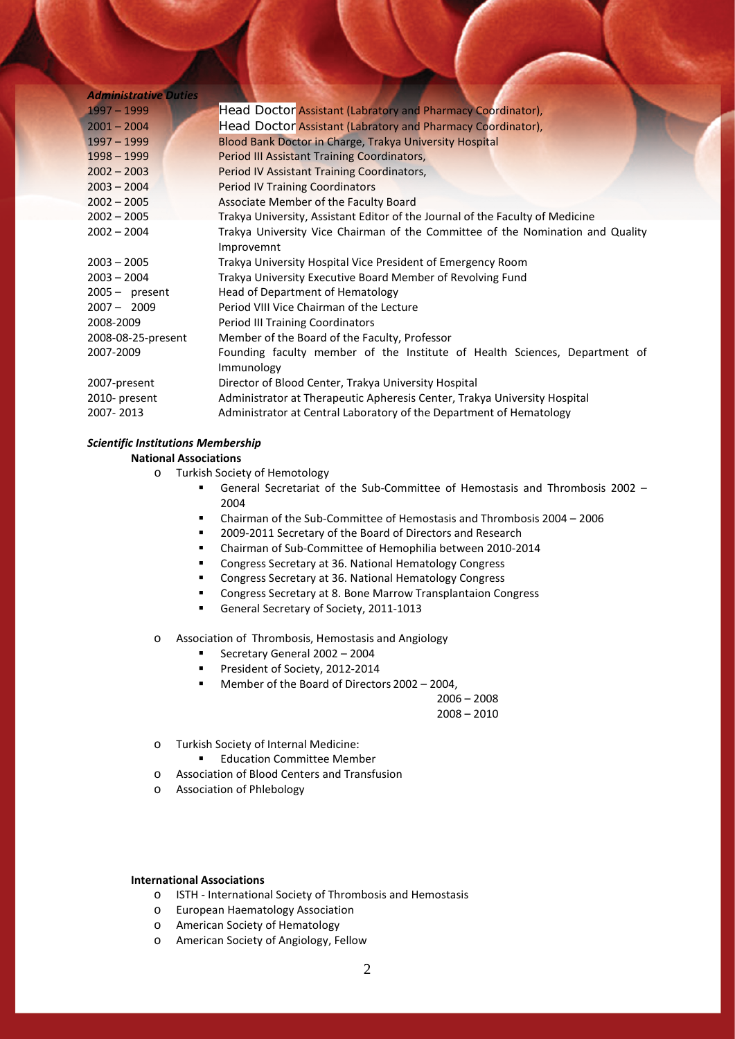| <b>Administrative Duties</b> |                                                                                |  |  |
|------------------------------|--------------------------------------------------------------------------------|--|--|
| $1997 - 1999$                | Head Doctor Assistant (Labratory and Pharmacy Coordinator),                    |  |  |
| $2001 - 2004$                | Head Doctor Assistant (Labratory and Pharmacy Coordinator),                    |  |  |
| $1997 - 1999$                | Blood Bank Doctor in Charge, Trakya University Hospital                        |  |  |
| $1998 - 1999$                | Period III Assistant Training Coordinators,                                    |  |  |
| $2002 - 2003$                | Period IV Assistant Training Coordinators,                                     |  |  |
| $2003 - 2004$                | <b>Period IV Training Coordinators</b>                                         |  |  |
| $2002 - 2005$                | Associate Member of the Faculty Board                                          |  |  |
| $2002 - 2005$                | Trakya University, Assistant Editor of the Journal of the Faculty of Medicine  |  |  |
| $2002 - 2004$                | Trakya University Vice Chairman of the Committee of the Nomination and Quality |  |  |
|                              | Improvemnt                                                                     |  |  |
| $2003 - 2005$                | Trakya University Hospital Vice President of Emergency Room                    |  |  |
| $2003 - 2004$                | Trakya University Executive Board Member of Revolving Fund                     |  |  |
| $2005 -$ present             | Head of Department of Hematology                                               |  |  |
| $2007 - 2009$                | Period VIII Vice Chairman of the Lecture                                       |  |  |
| 2008-2009                    | <b>Period III Training Coordinators</b>                                        |  |  |
| 2008-08-25-present           | Member of the Board of the Faculty, Professor                                  |  |  |
| 2007-2009                    | Founding faculty member of the Institute of Health Sciences, Department of     |  |  |
|                              | Immunology                                                                     |  |  |
| 2007-present                 | Director of Blood Center, Trakya University Hospital                           |  |  |
| 2010- present                | Administrator at Therapeutic Apheresis Center, Trakya University Hospital      |  |  |
| 2007-2013                    | Administrator at Central Laboratory of the Department of Hematology            |  |  |
|                              |                                                                                |  |  |

## *Scientific Institutions Membership*

## **National Associations**

- o Turkish Society of Hemotology
	- General Secretariat of the Sub-Committee of Hemostasis and Thrombosis 2002 2004
	- Chairman of the Sub-Committee of Hemostasis and Thrombosis 2004 2006
	- 2009-2011 Secretary of the Board of Directors and Research
	- Chairman of Sub-Committee of Hemophilia between 2010-2014
	- **Congress Secretary at 36. National Hematology Congress**
	- **Congress Secretary at 36. National Hematology Congress**
	- **E** Congress Secretary at 8. Bone Marrow Transplantaion Congress
	- General Secretary of Society, 2011-1013

o Association of Thrombosis, Hemostasis and Angiology

- Secretary General 2002 2004
- President of Society, 2012-2014
- Member of the Board of Directors 2002 2004,

 $2006 - 2008$ 

- 2008 2010
- o Turkish Society of Internal Medicine:
	- **Education Committee Member**
- o Association of Blood Centers and Transfusion
- o Association of Phlebology

#### **International Associations**

- o ISTH International Society of Thrombosis and Hemostasis
- o European Haematology Association
- o American Society of Hematology
- o American Society of Angiology, Fellow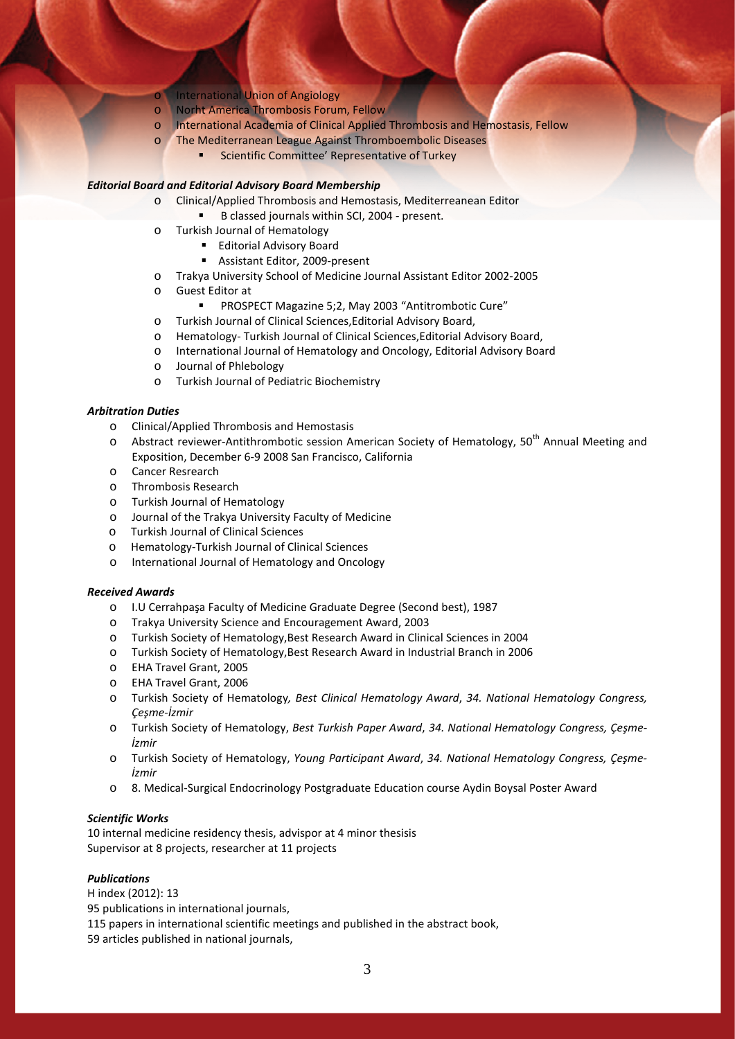- **International Union of Angiology**
- o Norht America Thrombosis Forum, Fellow
- o International Academia of Clinical Applied Thrombosis and Hemostasis, Fellow
- o The Mediterranean League Against Thromboembolic Diseases
	- **EXECOMMITTEE:** Scientific Committee' Representative of Turkey

#### *Editorial Board and Editorial Advisory Board Membership*

- o Clinical/Applied Thrombosis and Hemostasis, Mediterreanean Editor
	- B classed journals within SCI, 2004 present.
- o Turkish Journal of Hematology
	- **Editorial Advisory Board**
	- Assistant Editor, 2009-present
- o Trakya University School of Medicine Journal Assistant Editor 2002-2005
- o Guest Editor at
	- PROSPECT Magazine 5;2, May 2003 "Antitrombotic Cure"
- o Turkish Journal of Clinical Sciences,Editorial Advisory Board,
- o Hematology- Turkish Journal of Clinical Sciences,Editorial Advisory Board,
- o International Journal of Hematology and Oncology, Editorial Advisory Board
- o Journal of Phlebology
- o Turkish Journal of Pediatric Biochemistry

#### *Arbitration Duties*

- o Clinical/Applied Thrombosis and Hemostasis
- o Abstract reviewer-Antithrombotic session American Society of Hematology, 50<sup>th</sup> Annual Meeting and Exposition, December 6-9 2008 San Francisco, California
- o Cancer Resrearch
- o Thrombosis Research
- o Turkish Journal of Hematology
- o Journal of the Trakya University Faculty of Medicine
- o Turkish Journal of Clinical Sciences
- o Hematology-Turkish Journal of Clinical Sciences
- o International Journal of Hematology and Oncology

#### *Received Awards*

- o I.U Cerrahpaşa Faculty of Medicine Graduate Degree (Second best), 1987
- o Trakya University Science and Encouragement Award, 2003
- o Turkish Society of Hematology,Best Research Award in Clinical Sciences in 2004
- o Turkish Society of Hematology,Best Research Award in Industrial Branch in 2006
- o EHA Travel Grant, 2005
- o EHA Travel Grant, 2006
- o Turkish Society of Hematology*, Best Clinical Hematology Award*, *34. National Hematology Congress, Çeşme-İzmir*
- o Turkish Society of Hematology, *Best Turkish Paper Award*, *34. National Hematology Congress, Çeşme-İzmir*
- o Turkish Society of Hematology, *Young Participant Award*, *34. National Hematology Congress, Çeşme-İzmir*
- o 8. Medical-Surgical Endocrinology Postgraduate Education course Aydin Boysal Poster Award

# *Scientific Works*

10 internal medicine residency thesis, advispor at 4 minor thesisis Supervisor at 8 projects, researcher at 11 projects

#### *Publications*

H index (2012): 13 95 publications in international journals, 115 papers in international scientific meetings and published in the abstract book, 59 articles published in national journals,